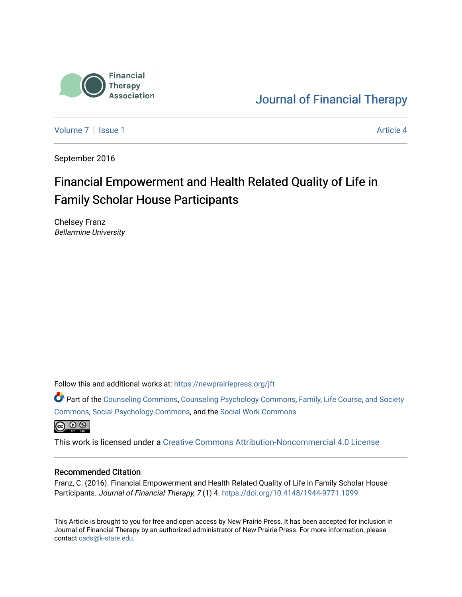

[Journal of Financial Therapy](https://newprairiepress.org/jft) 

[Volume 7](https://newprairiepress.org/jft/vol7) | [Issue 1](https://newprairiepress.org/jft/vol7/iss1) Article 4

September 2016

# Financial Empowerment and Health Related Quality of Life in Family Scholar House Participants

Chelsey Franz Bellarmine University

Follow this and additional works at: [https://newprairiepress.org/jft](https://newprairiepress.org/jft?utm_source=newprairiepress.org%2Fjft%2Fvol7%2Fiss1%2F4&utm_medium=PDF&utm_campaign=PDFCoverPages)

Part of the [Counseling Commons,](http://network.bepress.com/hgg/discipline/1268?utm_source=newprairiepress.org%2Fjft%2Fvol7%2Fiss1%2F4&utm_medium=PDF&utm_campaign=PDFCoverPages) [Counseling Psychology Commons,](http://network.bepress.com/hgg/discipline/1044?utm_source=newprairiepress.org%2Fjft%2Fvol7%2Fiss1%2F4&utm_medium=PDF&utm_campaign=PDFCoverPages) [Family, Life Course, and Society](http://network.bepress.com/hgg/discipline/419?utm_source=newprairiepress.org%2Fjft%2Fvol7%2Fiss1%2F4&utm_medium=PDF&utm_campaign=PDFCoverPages)  [Commons](http://network.bepress.com/hgg/discipline/419?utm_source=newprairiepress.org%2Fjft%2Fvol7%2Fiss1%2F4&utm_medium=PDF&utm_campaign=PDFCoverPages), [Social Psychology Commons,](http://network.bepress.com/hgg/discipline/414?utm_source=newprairiepress.org%2Fjft%2Fvol7%2Fiss1%2F4&utm_medium=PDF&utm_campaign=PDFCoverPages) and the [Social Work Commons](http://network.bepress.com/hgg/discipline/713?utm_source=newprairiepress.org%2Fjft%2Fvol7%2Fiss1%2F4&utm_medium=PDF&utm_campaign=PDFCoverPages)   $\bigoplus$   $\bigoplus$   $\bigoplus$ 

This work is licensed under a [Creative Commons Attribution-Noncommercial 4.0 License](https://creativecommons.org/licenses/by-nc/4.0/)

#### Recommended Citation

Franz, C. (2016). Financial Empowerment and Health Related Quality of Life in Family Scholar House Participants. Journal of Financial Therapy, 7 (1) 4.<https://doi.org/10.4148/1944-9771.1099>

This Article is brought to you for free and open access by New Prairie Press. It has been accepted for inclusion in Journal of Financial Therapy by an authorized administrator of New Prairie Press. For more information, please contact [cads@k-state.edu](mailto:cads@k-state.edu).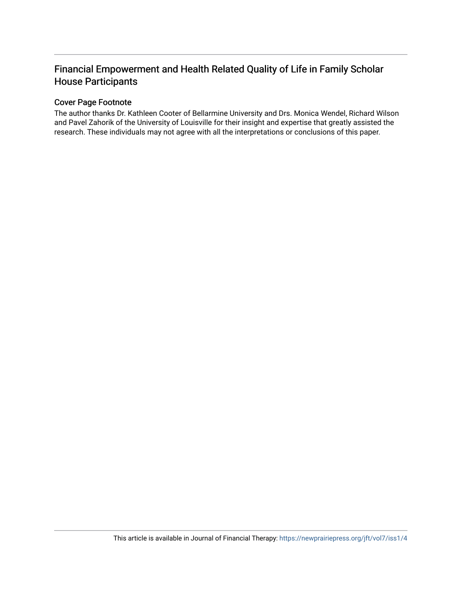# Financial Empowerment and Health Related Quality of Life in Family Scholar House Participants

#### Cover Page Footnote

The author thanks Dr. Kathleen Cooter of Bellarmine University and Drs. Monica Wendel, Richard Wilson and Pavel Zahorik of the University of Louisville for their insight and expertise that greatly assisted the research. These individuals may not agree with all the interpretations or conclusions of this paper.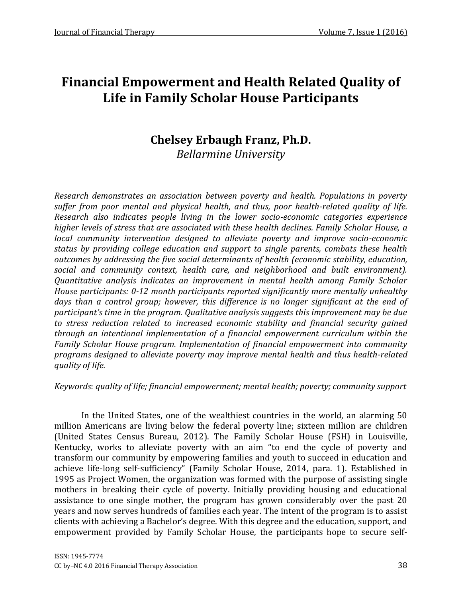# **Financial Empowerment and Health Related Quality of Life in Family Scholar House Participants**

# **Chelsey Erbaugh Franz, Ph.D.** *Bellarmine University*

*Research demonstrates an association between poverty and health. Populations in poverty suffer from poor mental and physical health, and thus, poor health-related quality of life. Research also indicates people living in the lower socio-economic categories experience higher levels of stress that are associated with these health declines. Family Scholar House, a local community intervention designed to alleviate poverty and improve socio-economic status by providing college education and support to single parents, combats these health outcomes by addressing the five social determinants of health (economic stability, education, social and community context, health care, and neighborhood and built environment). Quantitative analysis indicates an improvement in mental health among Family Scholar House participants: 0-12 month participants reported significantly more mentally unhealthy*  days than a control group; however, this difference is no longer significant at the end of *participant's time in the program. Qualitative analysis suggests this improvement may be due to stress reduction related to increased economic stability and financial security gained through an intentional implementation of a financial empowerment curriculum within the Family Scholar House program. Implementation of financial empowerment into community programs designed to alleviate poverty may improve mental health and thus health-related quality of life.*

*Keywords*: *quality of life; financial empowerment; mental health; poverty; community support*

In the United States, one of the wealthiest countries in the world, an alarming 50 million Americans are living below the federal poverty line; sixteen million are children [\(United States Census Bureau, 2012\)](#page-20-0). The Family Scholar House (FSH) in Louisville, Kentucky, works to alleviate poverty with an aim "to end the cycle of poverty and transform our community by empowering families and youth to succeed in education and achieve life-long self-sufficiency" [\(Family Scholar House, 2014,](#page-18-0) para. 1). Established in 1995 as Project Women, the organization was formed with the purpose of assisting single mothers in breaking their cycle of poverty. Initially providing housing and educational assistance to one single mother, the program has grown considerably over the past 20 years and now serves hundreds of families each year. The intent of the program is to assist clients with achieving a Bachelor's degree. With this degree and the education, support, and empowerment provided by Family Scholar House, the participants hope to secure self-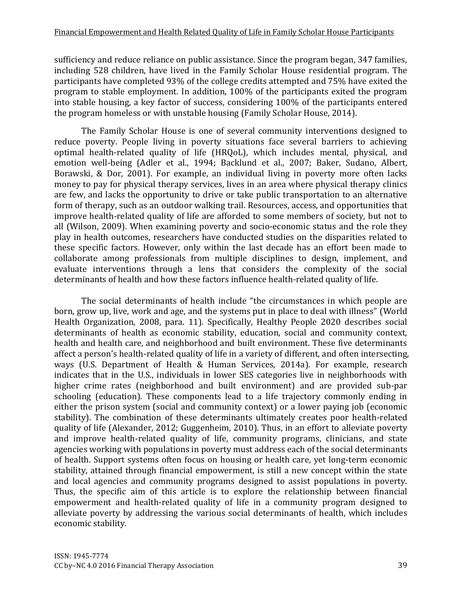sufficiency and reduce reliance on public assistance. Since the program began, 347 families, including 528 children, have lived in the Family Scholar House residential program. The participants have completed 93% of the college credits attempted and 75% have exited the program to stable employment. In addition, 100% of the participants exited the program into stable housing, a key factor of success, considering 100% of the participants entered the program homeless or with unstable housing [\(Family Scholar House, 2014\)](#page-18-0).

The Family Scholar House is one of several community interventions designed to reduce poverty. People living in poverty situations face several barriers to achieving optimal health-related quality of life (HRQoL), which includes mental, physical, and emotion well-being [\(Adler et al., 1994;](#page-18-1) [Backlund et al., 2007;](#page-18-2) [Baker, Sudano, Albert,](#page-18-3)  [Borawski, & Dor, 2001\)](#page-18-3). For example, an individual living in poverty more often lacks money to pay for physical therapy services, lives in an area where physical therapy clinics are few, and lacks the opportunity to drive or take public transportation to an alternative form of therapy, such as an outdoor walking trail. Resources, access, and opportunities that improve health-related quality of life are afforded to some members of society, but not to all [\(Wilson, 2009\)](#page-21-0). When examining poverty and socio-economic status and the role they play in health outcomes, researchers have conducted studies on the disparities related to these specific factors. However, only within the last decade has an effort been made to collaborate among professionals from multiple disciplines to design, implement, and evaluate interventions through a lens that considers the complexity of the social determinants of health and how these factors influence health-related quality of life.

The social determinants of health include "the circumstances in which people are born, grow up, live, work and age, and the systems put in place to deal with illness" [\(World](#page-21-1)  [Health Organization, 2008,](#page-21-1) para. 11). Specifically, Healthy People 2020 describes social determinants of health as economic stability, education, social and community context, health and health care, and neighborhood and built environment. These five determinants affect a person's health-related quality of life in a variety of different, and often intersecting, ways [\(U.S. Department of Health & Human Services, 2014a\)](#page-20-1). For example, research indicates that in the U.S., individuals in lower SES categories live in neighborhoods with higher crime rates (neighborhood and built environment) and are provided sub-par schooling (education). These components lead to a life trajectory commonly ending in either the prison system (social and community context) or a lower paying job (economic stability). The combination of these determinants ultimately creates poor health-related quality of life [\(Alexander, 2012;](#page-18-4) [Guggenheim, 2010\)](#page-19-0). Thus, in an effort to alleviate poverty and improve health-related quality of life, community programs, clinicians, and state agencies working with populations in poverty must address each of the social determinants of health. Support systems often focus on housing or health care, yet long-term economic stability, attained through financial empowerment, is still a new concept within the state and local agencies and community programs designed to assist populations in poverty. Thus, the specific aim of this article is to explore the relationship between financial empowerment and health-related quality of life in a community program designed to alleviate poverty by addressing the various social determinants of health, which includes economic stability.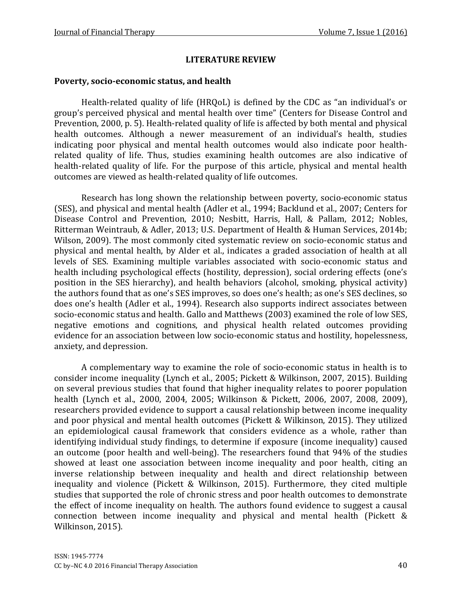#### **LITERATURE REVIEW**

#### **Poverty, socio-economic status, and health**

Health-related quality of life (HRQoL) is defined by the CDC as "an individual's or group's perceived physical and mental health over time" [\(Centers for Disease Control and](#page-18-5)  [Prevention, 2000,](#page-18-5) p. 5). Health-related quality of life is affected by both mental and physical health outcomes. Although a newer measurement of an individual's health, studies indicating poor physical and mental health outcomes would also indicate poor healthrelated quality of life. Thus, studies examining health outcomes are also indicative of health-related quality of life. For the purpose of this article, physical and mental health outcomes are viewed as health-related quality of life outcomes.

Research has long shown the relationship between poverty, socio-economic status (SES), and physical and mental health [\(Adler et al., 1994;](#page-18-1) Backlund [et al., 2007;](#page-18-2) [Centers for](#page-18-6)  [Disease Control and Prevention, 2010;](#page-18-6) [Nesbitt, Harris, Hall, & Pallam, 2012;](#page-19-1) [Nobles,](#page-19-2)  [Ritterman Weintraub, & Adler, 2013;](#page-19-2) [U.S. Department of Health & Human Services, 2014b;](#page-20-2) [Wilson, 2009\)](#page-21-0). The most commonly cited systematic review on socio-economic status and physical and mental health, by Alder et al., indicates a graded association of health at all levels of SES. Examining multiple variables associated with socio-economic status and health including psychological effects (hostility, depression), social ordering effects (one's position in the SES hierarchy), and health behaviors (alcohol, smoking, physical activity) the authors found that as one's SES improves, so does one's health; as one's SES declines, so does one's health [\(Adler et al., 1994\)](#page-18-1). Research also supports indirect associates between socio-economic status and health. Gallo and Matthews (2003) examined the role of low SES, negative emotions and cognitions, and physical health related outcomes providing evidence for an association between low socio-economic status and hostility, hopelessness, anxiety, and depression.

A complementary way to examine the role of socio-economic status in health is to consider income inequality [\(Lynch et al., 2005;](#page-19-3) [Pickett & Wilkinson, 2007,](#page-20-3) [2015\)](#page-20-4). Building on several previous studies that found that higher inequality relates to poorer population health [\(Lynch et al., 2000, 2004, 2005;](#page-19-3) [Wilkinson & Pickett, 2006, 2007, 2008,](#page-20-5) [2009\)](#page-20-6), researchers provided evidence to support a causal relationship between income inequality and poor physical and mental health outcomes [\(Pickett & Wilkinson, 2015\)](#page-20-4). They utilized an epidemiological causal framework that considers evidence as a whole, rather than identifying individual study findings, to determine if exposure (income inequality) caused an outcome (poor health and well-being). The researchers found that 94% of the studies showed at least one association between income inequality and poor health, citing an inverse relationship between inequality and health and direct relationship between inequality and violence [\(Pickett & Wilkinson, 2015\)](#page-20-4). Furthermore, they cited multiple studies that supported the role of chronic stress and poor health outcomes to demonstrate the effect of income inequality on health. The authors found evidence to suggest a causal connection between income inequality and physical and mental health [\(Pickett &](#page-20-4)  [Wilkinson, 2015\)](#page-20-4).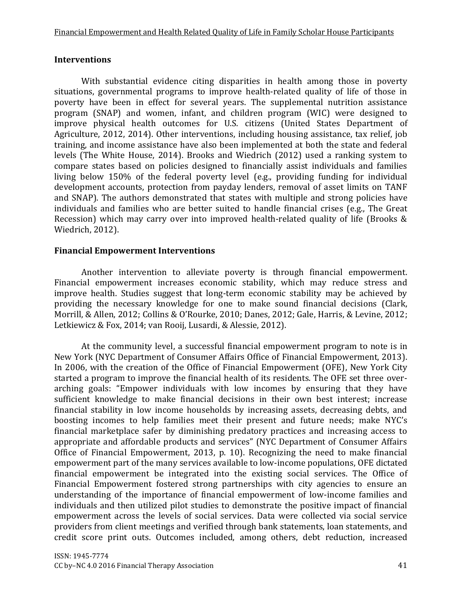### **Interventions**

With substantial evidence citing disparities in health among those in poverty situations, governmental programs to improve health-related quality of life of those in poverty have been in effect for several years. The supplemental nutrition assistance program (SNAP) and women, infant, and children program (WIC) were designed to improve physical health outcomes for U.S. citizens [\(United States Department of](#page-20-7)  [Agriculture, 2012,](#page-20-7) [2014\)](#page-20-8). Other interventions, including housing assistance, tax relief, job training, and income assistance have also been implemented at both the state and federal levels [\(The White House, 2014\)](#page-20-9). Brooks and Wiedrich (2012) used a ranking system to compare states based on policies designed to financially assist individuals and families living below 150% of the federal poverty level (e.g., providing funding for individual development accounts, protection from payday lenders, removal of asset limits on TANF and SNAP). The authors demonstrated that states with multiple and strong policies have individuals and families who are better suited to handle financial crises (e.g., The Great Recession) which may carry over into improved health-related quality of life [\(Brooks &](#page-18-7)  [Wiedrich, 2012\)](#page-18-7).

## **Financial Empowerment Interventions**

Another intervention to alleviate poverty is through financial empowerment. Financial empowerment increases economic stability, which may reduce stress and improve health. Studies suggest that long-term economic stability may be achieved by providing the necessary knowledge for one to make sound financial decisions [\(Clark,](#page-18-8)  [Morrill, & Allen, 2012;](#page-18-8) [Collins & O'Rourke, 2010](#page-18-9); [Danes, 2012;](#page-18-10) [Gale, Harris, & Levine, 2012;](#page-19-4) [Letkiewicz & Fox, 2014;](#page-19-5) [van Rooij, Lusardi, & Alessie, 2012\)](#page-20-10).

At the community level, a successful financial empowerment program to note is in New York [\(NYC Department of Consumer Affairs Office of Financial Empowerment, 2013\)](#page-20-11). In 2006, with the creation of the Office of Financial Empowerment (OFE), New York City started a program to improve the financial health of its residents. The OFE set three overarching goals: "Empower individuals with low incomes by ensuring that they have sufficient knowledge to make financial decisions in their own best interest; increase financial stability in low income households by increasing assets, decreasing debts, and boosting incomes to help families meet their present and future needs; make NYC's financial marketplace safer by diminishing predatory practices and increasing access to appropriate and affordable products and services" (NYC Department of Consumer Affairs Office of Financial Empowerment, 2013, p. 10). Recognizing the need to make financial empowerment part of the many services available to low-income populations, OFE dictated financial empowerment be integrated into the existing social services. The Office of Financial Empowerment fostered strong partnerships with city agencies to ensure an understanding of the importance of financial empowerment of low-income families and individuals and then utilized pilot studies to demonstrate the positive impact of financial empowerment across the levels of social services. Data were collected via social service providers from client meetings and verified through bank statements, loan statements, and credit score print outs. Outcomes included, among others, debt reduction, increased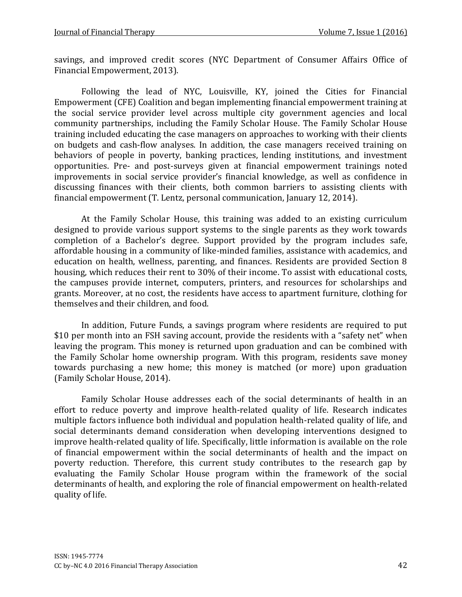savings, and improved credit scores [\(NYC Department of Consumer Affairs Office of](#page-20-11)  [Financial Empowerment, 2013\)](#page-20-11).

Following the lead of NYC, Louisville, KY, joined the Cities for Financial Empowerment (CFE) Coalition and began implementing financial empowerment training at the social service provider level across multiple city government agencies and local community partnerships, including the Family Scholar House. The Family Scholar House training included educating the case managers on approaches to working with their clients on budgets and cash-flow analyses. In addition, the case managers received training on behaviors of people in poverty, banking practices, lending institutions, and investment opportunities. Pre- and post-surveys given at financial empowerment trainings noted improvements in social service provider's financial knowledge, as well as confidence in discussing finances with their clients, both common barriers to assisting clients with financial empowerment (T. Lentz, personal communication, January 12, 2014).

At the Family Scholar House, this training was added to an existing curriculum designed to provide various support systems to the single parents as they work towards completion of a Bachelor's degree. Support provided by the program includes safe, affordable housing in a community of like-minded families, assistance with academics, and education on health, wellness, parenting, and finances. Residents are provided Section 8 housing, which reduces their rent to 30% of their income. To assist with educational costs, the campuses provide internet, computers, printers, and resources for scholarships and grants. Moreover, at no cost, the residents have access to apartment furniture, clothing for themselves and their children, and food.

In addition, Future Funds, a savings program where residents are required to put \$10 per month into an FSH saving account, provide the residents with a "safety net" when leaving the program. This money is returned upon graduation and can be combined with the Family Scholar home ownership program. With this program, residents save money towards purchasing a new home; this money is matched (or more) upon graduation (Family Scholar House, 2014).

Family Scholar House addresses each of the social determinants of health in an effort to reduce poverty and improve health-related quality of life. Research indicates multiple factors influence both individual and population health-related quality of life, and social determinants demand consideration when developing interventions designed to improve health-related quality of life. Specifically, little information is available on the role of financial empowerment within the social determinants of health and the impact on poverty reduction. Therefore, this current study contributes to the research gap by evaluating the Family Scholar House program within the framework of the social determinants of health, and exploring the role of financial empowerment on health-related quality of life.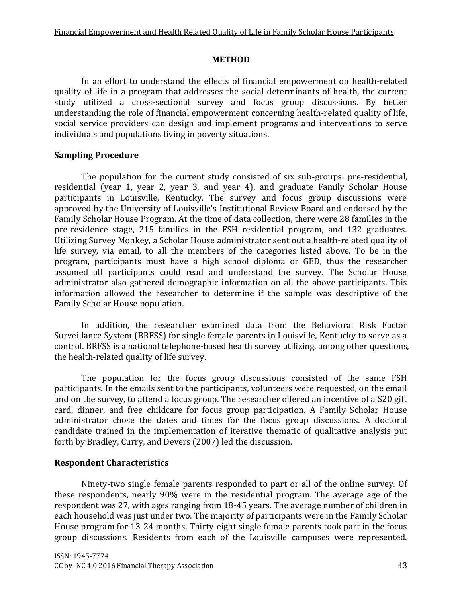## **METHOD**

In an effort to understand the effects of financial empowerment on health-related quality of life in a program that addresses the social determinants of health, the current study utilized a cross-sectional survey and focus group discussions. By better understanding the role of financial empowerment concerning health-related quality of life, social service providers can design and implement programs and interventions to serve individuals and populations living in poverty situations.

# **Sampling Procedure**

The population for the current study consisted of six sub-groups: pre-residential, residential (year 1, year 2, year 3, and year 4), and graduate Family Scholar House participants in Louisville, Kentucky. The survey and focus group discussions were approved by the University of Louisville's Institutional Review Board and endorsed by the Family Scholar House Program. At the time of data collection, there were 28 families in the pre-residence stage, 215 families in the FSH residential program, and 132 graduates. Utilizing Survey Monkey, a Scholar House administrator sent out a health-related quality of life survey, via email, to all the members of the categories listed above. To be in the program, participants must have a high school diploma or GED, thus the researcher assumed all participants could read and understand the survey. The Scholar House administrator also gathered demographic information on all the above participants. This information allowed the researcher to determine if the sample was descriptive of the Family Scholar House population.

In addition, the researcher examined data from the Behavioral Risk Factor Surveillance System (BRFSS) for single female parents in Louisville, Kentucky to serve as a control. BRFSS is a national telephone-based health survey utilizing, among other questions, the health-related quality of life survey.

The population for the focus group discussions consisted of the same FSH participants. In the emails sent to the participants, volunteers were requested, on the email and on the survey, to attend a focus group. The researcher offered an incentive of a \$20 gift card, dinner, and free childcare for focus group participation. A Family Scholar House administrator chose the dates and times for the focus group discussions. A doctoral candidate trained in the implementation of iterative thematic of qualitative analysis put forth by Bradley, Curry, and Devers (2007) led the discussion.

# **Respondent Characteristics**

Ninety-two single female parents responded to part or all of the online survey. Of these respondents, nearly 90% were in the residential program. The average age of the respondent was 27, with ages ranging from 18-45 years. The average number of children in each household was just under two. The majority of participants were in the Family Scholar House program for 13-24 months. Thirty-eight single female parents took part in the focus group discussions. Residents from each of the Louisville campuses were represented.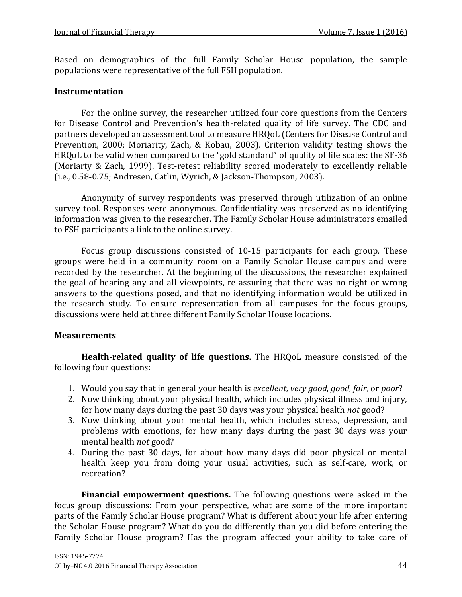Based on demographics of the full Family Scholar House population, the sample populations were representative of the full FSH population.

#### **Instrumentation**

For the online survey, the researcher utilized four core questions from the Centers for Disease Control and Prevention's health-related quality of life survey. The CDC and partners developed an assessment tool to measure HRQoL [\(Centers for Disease Control and](#page-18-5)  [Prevention, 2000;](#page-18-5) [Moriarity, Zach, & Kobau, 2003\)](#page-19-6). Criterion validity testing shows the HRQoL to be valid when compared to the "gold standard" of quality of life scales: the SF-36 [\(Moriarty & Zach, 1999\)](#page-19-7). Test-retest reliability scored moderately to excellently reliable (i.e., 0.58-0.75; [Andresen, Catlin, Wyrich, & Jackson-Thompson, 2003\)](#page-18-11).

Anonymity of survey respondents was preserved through utilization of an online survey tool. Responses were anonymous. Confidentiality was preserved as no identifying information was given to the researcher. The Family Scholar House administrators emailed to FSH participants a link to the online survey.

Focus group discussions consisted of 10-15 participants for each group. These groups were held in a community room on a Family Scholar House campus and were recorded by the researcher. At the beginning of the discussions, the researcher explained the goal of hearing any and all viewpoints, re-assuring that there was no right or wrong answers to the questions posed, and that no identifying information would be utilized in the research study. To ensure representation from all campuses for the focus groups, discussions were held at three different Family Scholar House locations.

### **Measurements**

**Health-related quality of life questions.** The HRQoL measure consisted of the following four questions:

- 1. Would you say that in general your health is *excellent, very good, good, fair*, or *poor*?
- 2. Now thinking about your physical health, which includes physical illness and injury, for how many days during the past 30 days was your physical health *not* good?
- 3. Now thinking about your mental health, which includes stress, depression, and problems with emotions, for how many days during the past 30 days was your mental health *not* good?
- 4. During the past 30 days, for about how many days did poor physical or mental health keep you from doing your usual activities, such as self-care, work, or recreation?

**Financial empowerment questions.** The following questions were asked in the focus group discussions: From your perspective, what are some of the more important parts of the Family Scholar House program? What is different about your life after entering the Scholar House program? What do you do differently than you did before entering the Family Scholar House program? Has the program affected your ability to take care of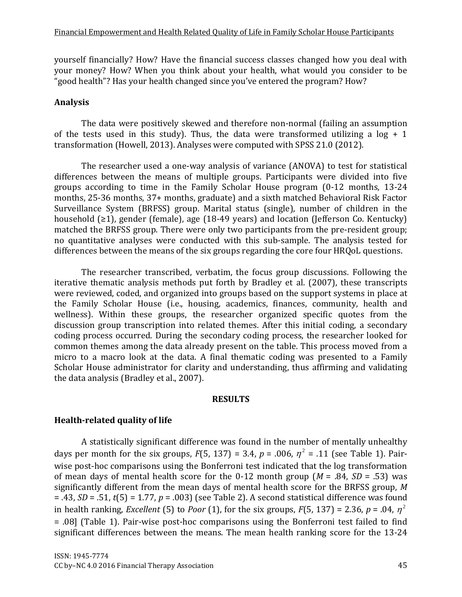yourself financially? How? Have the financial success classes changed how you deal with your money? How? When you think about your health, what would you consider to be "good health"? Has your health changed since you've entered the program? How?

## **Analysis**

The data were positively skewed and therefore non-normal (failing an assumption of the tests used in this study). Thus, the data were transformed utilizing a  $log + 1$ transformation (Howell, 2013). Analyses were computed with SPSS 21.0 (2012).

The researcher used a one-way analysis of variance (ANOVA) to test for statistical differences between the means of multiple groups. Participants were divided into five groups according to time in the Family Scholar House program (0-12 months, 13-24 months, 25-36 months, 37+ months, graduate) and a sixth matched Behavioral Risk Factor Surveillance System (BRFSS) group. Marital status (single), number of children in the household (≥1), gender (female), age (18-49 years) and location (Jefferson Co. Kentucky) matched the BRFSS group. There were only two participants from the pre-resident group; no quantitative analyses were conducted with this sub-sample. The analysis tested for differences between the means of the six groups regarding the core four HRQoL questions.

The researcher transcribed, verbatim, the focus group discussions. Following the iterative thematic analysis methods put forth by Bradley et al. (2007), these transcripts were reviewed, coded, and organized into groups based on the support systems in place at the Family Scholar House (i.e., housing, academics, finances, community, health and wellness). Within these groups, the researcher organized specific quotes from the discussion group transcription into related themes. After this initial coding, a secondary coding process occurred. During the secondary coding process, the researcher looked for common themes among the data already present on the table. This process moved from a micro to a macro look at the data. A final thematic coding was presented to a Family Scholar House administrator for clarity and understanding, thus affirming and validating the data analysis (Bradley et al., 2007).

#### **RESULTS**

# **Health-related quality of life**

A statistically significant difference was found in the number of mentally unhealthy days per month for the six groups,  $F(5, 137) = 3.4$ ,  $p = .006$ ,  $\eta^2 = .11$  (see Table 1). Pairwise post-hoc comparisons using the Bonferroni test indicated that the log transformation of mean days of mental health score for the 0-12 month group  $(M = .84, SD = .53)$  was significantly different from the mean days of mental health score for the BRFSS group, *M* = .43, *SD* = .51, *t*(5) = 1.77, *p* = .003) (see Table 2). A second statistical difference was found in health ranking, *Excellent* (5) to *Poor* (1), for the six groups,  $F(5, 137) = 2.36$ ,  $p = .04$ ,  $\eta^2$ = .08] (Table 1). Pair-wise post-hoc comparisons using the Bonferroni test failed to find significant differences between the means. The mean health ranking score for the 13-24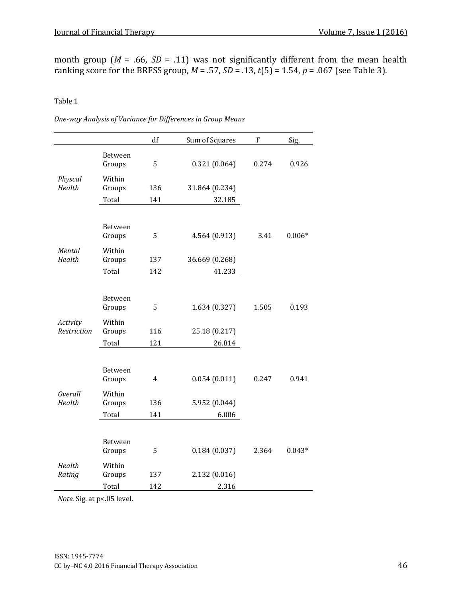month group ( $M = .66$ ,  $SD = .11$ ) was not significantly different from the mean health ranking score for the BRFSS group,  $M = .57$ ,  $SD = .13$ ,  $t(5) = 1.54$ ,  $p = .067$  (see Table 3).

Table 1

*One-way Analysis of Variance for Differences in Group Means*

|                          |                             | $\mathrm{d}\mathrm{f}$ | Sum of Squares | $\mathbf F$ | Sig.     |
|--------------------------|-----------------------------|------------------------|----------------|-------------|----------|
|                          | Between<br>Groups           | 5                      | 0.321(0.064)   | 0.274       | 0.926    |
| Physcal<br>Health        | Within<br>Groups            | 136                    | 31.864 (0.234) |             |          |
|                          | Total                       | 141                    | 32.185         |             |          |
| Mental<br>Health         | Between<br>Groups           | 5                      | 4.564 (0.913)  | 3.41        | $0.006*$ |
|                          | Within<br>Groups            | 137                    | 36.669 (0.268) |             |          |
|                          | Total                       | 142                    | 41.233         |             |          |
| Activity<br>Restriction  | Between<br>Groups<br>Within | 5                      | 1.634 (0.327)  | 1.505       | 0.193    |
|                          | Groups                      | 116                    | 25.18 (0.217)  |             |          |
|                          | Total                       | 121                    | 26.814         |             |          |
| <b>Overall</b><br>Health | Between<br>Groups           | $\overline{4}$         | 0.054(0.011)   | 0.247       | 0.941    |
|                          | Within<br>Groups            | 136                    | 5.952 (0.044)  |             |          |
|                          | Total                       | 141                    | 6.006          |             |          |
| Health<br>Rating         | Between<br>Groups<br>Within | 5                      | 0.184(0.037)   | 2.364       | $0.043*$ |
|                          | Groups                      | 137                    | 2.132 (0.016)  |             |          |
|                          | Total                       | 142                    | 2.316          |             |          |

*Note.* Sig. at p<.05 level.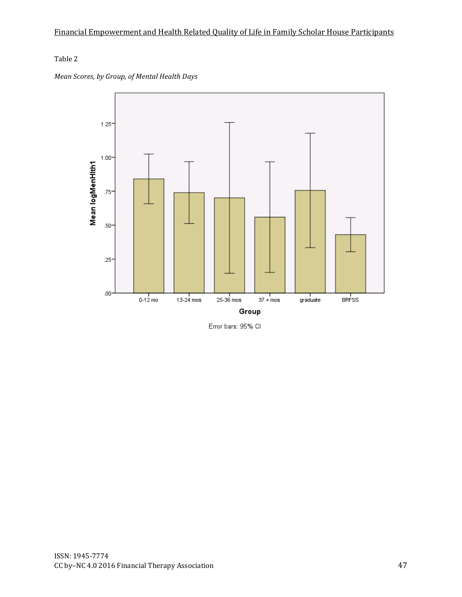## Table 2





Error bars: 95% CI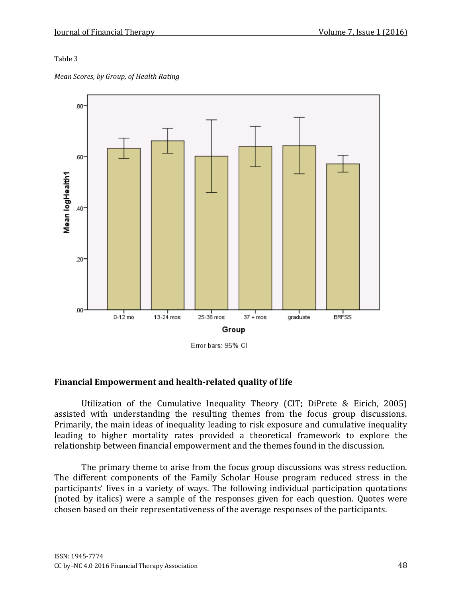#### Table 3

*Mean Scores, by Group, of Health Rating*



Error bars: 95% CI

### **Financial Empowerment and health-related quality of life**

Utilization of the Cumulative Inequality Theory (CIT; DiPrete & Eirich, 2005) assisted with understanding the resulting themes from the focus group discussions. Primarily, the main ideas of inequality leading to risk exposure and cumulative inequality leading to higher mortality rates provided a theoretical framework to explore the relationship between financial empowerment and the themes found in the discussion.

The primary theme to arise from the focus group discussions was stress reduction. The different components of the Family Scholar House program reduced stress in the participants' lives in a variety of ways. The following individual participation quotations (noted by italics) were a sample of the responses given for each question. Quotes were chosen based on their representativeness of the average responses of the participants.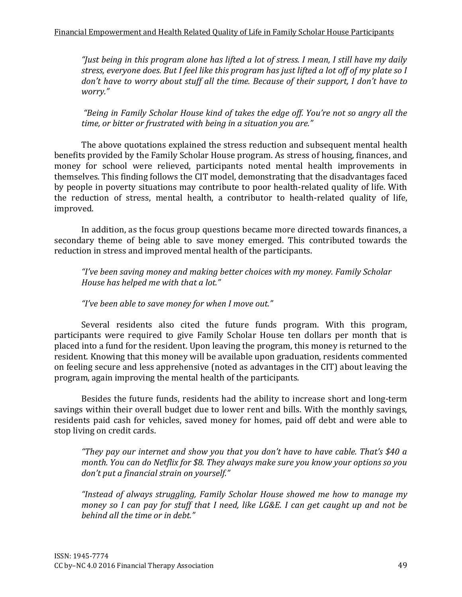*"Just being in this program alone has lifted a lot of stress. I mean, I still have my daily stress, everyone does. But I feel like this program has just lifted a lot off of my plate so I don't have to worry about stuff all the time. Because of their support, I don't have to worry."*

*"Being in Family Scholar House kind of takes the edge off. You're not so angry all the time, or bitter or frustrated with being in a situation you are."*

The above quotations explained the stress reduction and subsequent mental health benefits provided by the Family Scholar House program. As stress of housing, finances, and money for school were relieved, participants noted mental health improvements in themselves. This finding follows the CIT model, demonstrating that the disadvantages faced by people in poverty situations may contribute to poor health-related quality of life. With the reduction of stress, mental health, a contributor to health-related quality of life, improved.

In addition, as the focus group questions became more directed towards finances, a secondary theme of being able to save money emerged. This contributed towards the reduction in stress and improved mental health of the participants.

*"I've been saving money and making better choices with my money. Family Scholar House has helped me with that a lot."*

# *"I've been able to save money for when I move out."*

Several residents also cited the future funds program. With this program, participants were required to give Family Scholar House ten dollars per month that is placed into a fund for the resident. Upon leaving the program, this money is returned to the resident. Knowing that this money will be available upon graduation, residents commented on feeling secure and less apprehensive (noted as advantages in the CIT) about leaving the program, again improving the mental health of the participants.

Besides the future funds, residents had the ability to increase short and long-term savings within their overall budget due to lower rent and bills. With the monthly savings, residents paid cash for vehicles, saved money for homes, paid off debt and were able to stop living on credit cards.

*"They pay our internet and show you that you don't have to have cable. That's \$40 a month. You can do Netflix for \$8. They always make sure you know your options so you don't put a financial strain on yourself."*

*"Instead of always struggling, Family Scholar House showed me how to manage my money so I can pay for stuff that I need, like LG&E. I can get caught up and not be behind all the time or in debt."*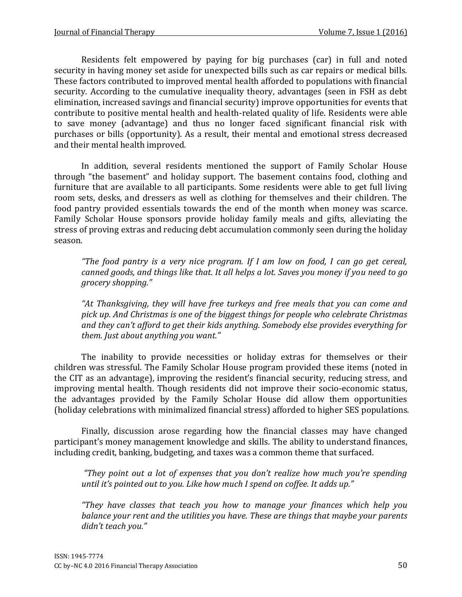Residents felt empowered by paying for big purchases (car) in full and noted security in having money set aside for unexpected bills such as car repairs or medical bills. These factors contributed to improved mental health afforded to populations with financial security. According to the cumulative inequality theory, advantages (seen in FSH as debt elimination, increased savings and financial security) improve opportunities for events that contribute to positive mental health and health-related quality of life. Residents were able to save money (advantage) and thus no longer faced significant financial risk with purchases or bills (opportunity). As a result, their mental and emotional stress decreased and their mental health improved.

In addition, several residents mentioned the support of Family Scholar House through "the basement" and holiday support. The basement contains food, clothing and furniture that are available to all participants. Some residents were able to get full living room sets, desks, and dressers as well as clothing for themselves and their children. The food pantry provided essentials towards the end of the month when money was scarce. Family Scholar House sponsors provide holiday family meals and gifts, alleviating the stress of proving extras and reducing debt accumulation commonly seen during the holiday season.

*"The food pantry is a very nice program. If I am low on food, I can go get cereal, canned goods, and things like that. It all helps a lot. Saves you money if you need to go grocery shopping."*

*"At Thanksgiving, they will have free turkeys and free meals that you can come and pick up. And Christmas is one of the biggest things for people who celebrate Christmas and they can't afford to get their kids anything. Somebody else provides everything for them. Just about anything you want."*

The inability to provide necessities or holiday extras for themselves or their children was stressful. The Family Scholar House program provided these items (noted in the CIT as an advantage), improving the resident's financial security, reducing stress, and improving mental health. Though residents did not improve their socio-economic status, the advantages provided by the Family Scholar House did allow them opportunities (holiday celebrations with minimalized financial stress) afforded to higher SES populations.

Finally, discussion arose regarding how the financial classes may have changed participant's money management knowledge and skills. The ability to understand finances, including credit, banking, budgeting, and taxes was a common theme that surfaced.

*"They point out a lot of expenses that you don't realize how much you're spending until it's pointed out to you. Like how much I spend on coffee. It adds up."*

*"They have classes that teach you how to manage your finances which help you balance your rent and the utilities you have. These are things that maybe your parents didn't teach you."*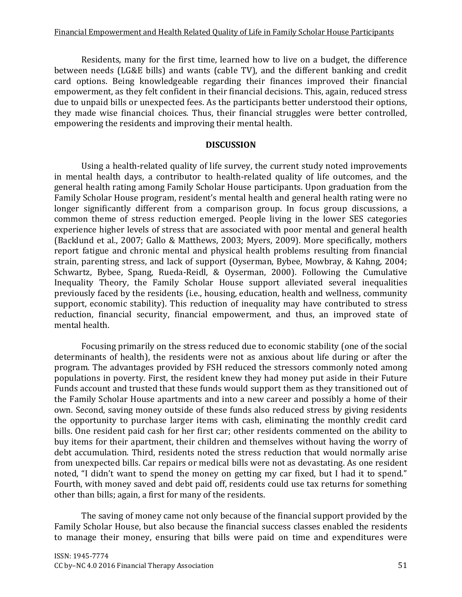Residents, many for the first time, learned how to live on a budget, the difference between needs (LG&E bills) and wants (cable TV), and the different banking and credit card options. Being knowledgeable regarding their finances improved their financial empowerment, as they felt confident in their financial decisions. This, again, reduced stress due to unpaid bills or unexpected fees. As the participants better understood their options, they made wise financial choices. Thus, their financial struggles were better controlled, empowering the residents and improving their mental health.

#### **DISCUSSION**

Using a health-related quality of life survey, the current study noted improvements in mental health days, a contributor to health-related quality of life outcomes, and the general health rating among Family Scholar House participants. Upon graduation from the Family Scholar House program, resident's mental health and general health rating were no longer significantly different from a comparison group. In focus group discussions, a common theme of stress reduction emerged. People living in the lower SES categories experience higher levels of stress that are associated with poor mental and general health [\(Backlund et al., 2007;](#page-18-2) [Gallo & Matthews, 2003;](#page-19-8) [Myers, 2009\)](#page-19-9). More specifically, mothers report fatigue and chronic mental and physical health problems resulting from financial strain, parenting stress, and lack of support [\(Oyserman, Bybee, Mowbray, & Kahng, 2004;](#page-20-12) [Schwartz, Bybee, Spang, Rueda-Reidl,](#page-19-9) & Oyserman, 2000). Following the Cumulative Inequality Theory, the Family Scholar House support alleviated several inequalities previously faced by the residents (i.e., housing, education, health and wellness, community support, economic stability). This reduction of inequality may have contributed to stress reduction, financial security, financial empowerment, and thus, an improved state of mental health.

Focusing primarily on the stress reduced due to economic stability (one of the social determinants of health), the residents were not as anxious about life during or after the program. The advantages provided by FSH reduced the stressors commonly noted among populations in poverty. First, the resident knew they had money put aside in their Future Funds account and trusted that these funds would support them as they transitioned out of the Family Scholar House apartments and into a new career and possibly a home of their own. Second, saving money outside of these funds also reduced stress by giving residents the opportunity to purchase larger items with cash, eliminating the monthly credit card bills. One resident paid cash for her first car; other residents commented on the ability to buy items for their apartment, their children and themselves without having the worry of debt accumulation. Third, residents noted the stress reduction that would normally arise from unexpected bills. Car repairs or medical bills were not as devastating. As one resident noted, "I didn't want to spend the money on getting my car fixed, but I had it to spend." Fourth, with money saved and debt paid off, residents could use tax returns for something other than bills; again, a first for many of the residents.

The saving of money came not only because of the financial support provided by the Family Scholar House, but also because the financial success classes enabled the residents to manage their money, ensuring that bills were paid on time and expenditures were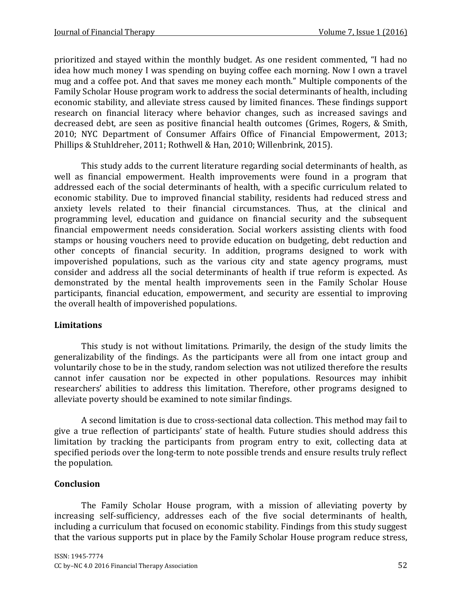prioritized and stayed within the monthly budget. As one resident commented, "I had no idea how much money I was spending on buying coffee each morning. Now I own a travel mug and a coffee pot. And that saves me money each month." Multiple components of the Family Scholar House program work to address the social determinants of health, including economic stability, and alleviate stress caused by limited finances. These findings support research on financial literacy where behavior changes, such as increased savings and decreased debt, are seen as positive financial health outcomes [\(Grimes, Rogers, & Smith,](#page-19-10)  [2010;](#page-19-10) [NYC Department of Consumer Affairs Office of Financial Empowerment, 2013;](#page-20-11) [Phillips & Stuhldreher, 2011;](#page-20-13) [Rothwell & Han, 2010;](#page-20-14) [Willenbrink, 2015\)](#page-21-2).

This study adds to the current literature regarding social determinants of health, as well as financial empowerment. Health improvements were found in a program that addressed each of the social determinants of health, with a specific curriculum related to economic stability. Due to improved financial stability, residents had reduced stress and anxiety levels related to their financial circumstances. Thus, at the clinical and programming level, education and guidance on financial security and the subsequent financial empowerment needs consideration. Social workers assisting clients with food stamps or housing vouchers need to provide education on budgeting, debt reduction and other concepts of financial security. In addition, programs designed to work with impoverished populations, such as the various city and state agency programs, must consider and address all the social determinants of health if true reform is expected. As demonstrated by the mental health improvements seen in the Family Scholar House participants, financial education, empowerment, and security are essential to improving the overall health of impoverished populations.

# **Limitations**

This study is not without limitations. Primarily, the design of the study limits the generalizability of the findings. As the participants were all from one intact group and voluntarily chose to be in the study, random selection was not utilized therefore the results cannot infer causation nor be expected in other populations. Resources may inhibit researchers' abilities to address this limitation. Therefore, other programs designed to alleviate poverty should be examined to note similar findings.

A second limitation is due to cross-sectional data collection. This method may fail to give a true reflection of participants' state of health. Future studies should address this limitation by tracking the participants from program entry to exit, collecting data at specified periods over the long-term to note possible trends and ensure results truly reflect the population.

# **Conclusion**

The Family Scholar House program, with a mission of alleviating poverty by increasing self-sufficiency, addresses each of the five social determinants of health, including a curriculum that focused on economic stability. Findings from this study suggest that the various supports put in place by the Family Scholar House program reduce stress,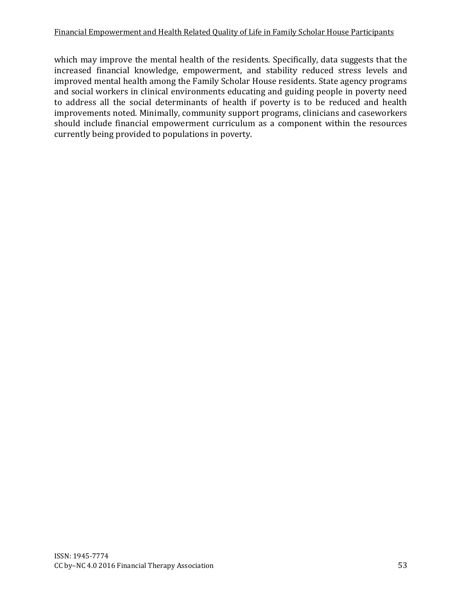which may improve the mental health of the residents. Specifically, data suggests that the increased financial knowledge, empowerment, and stability reduced stress levels and improved mental health among the Family Scholar House residents. State agency programs and social workers in clinical environments educating and guiding people in poverty need to address all the social determinants of health if poverty is to be reduced and health improvements noted. Minimally, community support programs, clinicians and caseworkers should include financial empowerment curriculum as a component within the resources currently being provided to populations in poverty.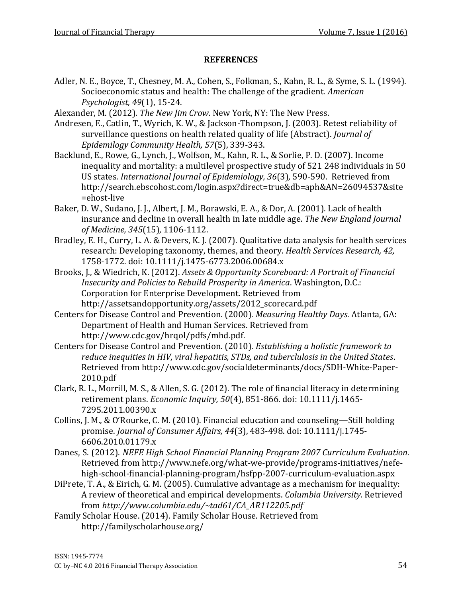## **REFERENCES**

- <span id="page-18-1"></span>Adler, N. E., Boyce, T., Chesney, M. A., Cohen, S., Folkman, S., Kahn, R. L., & Syme, S. L. (1994). Socioeconomic status and health: The challenge of the gradient. *American Psychologist, 49*(1), 15-24.
- <span id="page-18-4"></span>Alexander, M. (2012). *The New Jim Crow*. New York, NY: The New Press.
- <span id="page-18-11"></span>Andresen, E., Catlin, T., Wyrich, K. W., & Jackson-Thompson, J. (2003). Retest reliability of surveillance questions on health related quality of life (Abstract). *Journal of Epidemilogy Community Health, 57*(5), 339-343.
- <span id="page-18-2"></span>Backlund, E., Rowe, G., Lynch, J., Wolfson, M., Kahn, R. L., & Sorlie, P. D. (2007). Income inequality and mortality: a multilevel prospective study of 521 248 individuals in 50 US states. *International Journal of Epidemiology, 36*(3), 590-590. Retrieved from http://search.ebscohost.com/login.aspx?direct=true&db=aph&AN=26094537&site =ehost-live
- <span id="page-18-3"></span>Baker, D. W., Sudano, J. J., Albert, J. M., Borawski, E. A., & Dor, A. (2001). Lack of health insurance and decline in overall health in late middle age. *The New England Journal of Medicine, 345*(15), 1106-1112.
- Bradley, E. H., Curry, L. A. & Devers, K. J. (2007). Qualitative data analysis for health services research: Developing taxonomy, themes, and theory. *Health Services Research, 42,* 1758-1772. doi: 10.1111/j.1475-6773.2006.00684.x
- <span id="page-18-7"></span>Brooks, J., & Wiedrich, K. (2012). *Assets & Opportunity Scoreboard: A Portrait of Financial Insecurity and Policies to Rebuild Prosperity in America*. Washington, D.C.: Corporation for Enterprise Development. Retrieved from http://assetsandopportunity.org/assets/2012\_scorecard.pdf
- <span id="page-18-5"></span>Centers for Disease Control and Prevention. (2000). *Measuring Healthy Days*. Atlanta, GA: Department of Health and Human Services. Retrieved from http://www.cdc.gov/hrqol/pdfs/mhd.pdf.
- <span id="page-18-6"></span>Centers for Disease Control and Prevention. (2010). *Establishing a holistic framework to reduce inequities in HIV, viral hepatitis, STDs, and tuberclulosis in the United States*. Retrieved from http://www.cdc.gov/socialdeterminants/docs/SDH-White-Paper-2010.pdf
- <span id="page-18-8"></span>Clark, R. L., Morrill, M. S., & Allen, S. G. (2012). The role of financial literacy in determining retirement plans. *Economic Inquiry, 50*(4), 851-866. doi: 10.1111/j.1465- 7295.2011.00390.x
- <span id="page-18-9"></span>Collins, J. M., & O'Rourke, C. M. (2010). Financial education and counseling—Still holding promise. *Journal of Consumer Affairs, 44*(3), 483-498. doi: 10.1111/j.1745- 6606.2010.01179.x
- <span id="page-18-10"></span>Danes, S. (2012). *NEFE High School Financial Planning Program 2007 Curriculum Evaluation*. Retrieved from http://www.nefe.org/what-we-provide/programs-initiatives/nefehigh-school-financial-planning-program/hsfpp-2007-curriculum-evaluation.aspx
- DiPrete, T. A., & Eirich, G. M. (2005). Cumulative advantage as a mechanism for inequality: A review of theoretical and empirical developments. *Columbia University.* Retrieved from *http://www.columbia.edu/~tad61/CA\_AR112205.pdf*
- <span id="page-18-0"></span>Family Scholar House. (2014). Family Scholar House. Retrieved from http://familyscholarhouse.org/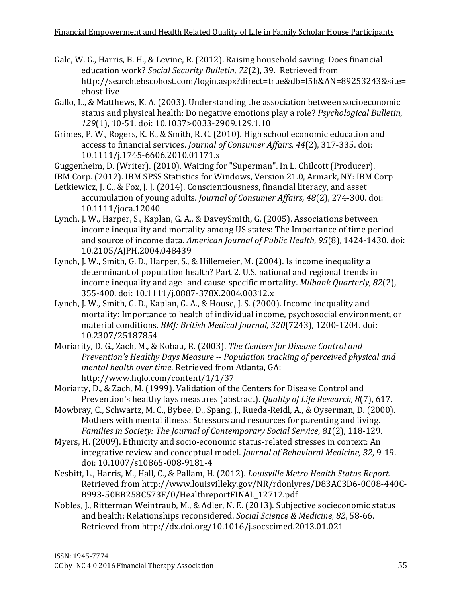- <span id="page-19-4"></span>Gale, W. G., Harris, B. H., & Levine, R. (2012). Raising household saving: Does financial education work? *Social Security Bulletin, 72*(2), 39. Retrieved from http://search.ebscohost.com/login.aspx?direct=true&db=f5h&AN=89253243&site= ehost-live
- <span id="page-19-8"></span>Gallo, L., & Matthews, K. A. (2003). Understanding the association between socioeconomic status and physical health: Do negative emotions play a role? *Psychological Bulletin, 129*(1), 10-51. doi: 10.1037>0033-2909.129.1.10
- <span id="page-19-10"></span>Grimes, P. W., Rogers, K. E., & Smith, R. C. (2010). High school economic education and access to financial services. *Journal of Consumer Affairs, 44*(2), 317-335. doi: 10.1111/j.1745-6606.2010.01171.x
- <span id="page-19-0"></span>Guggenheim, D. (Writer). (2010). Waiting for "Superman". In L. Chilcott (Producer).
- IBM Corp. (2012). IBM SPSS Statistics for Windows, Version 21.0, Armark, NY: IBM Corp
- <span id="page-19-5"></span>Letkiewicz, J. C., & Fox, J. J. (2014). Conscientiousness, financial literacy, and asset accumulation of young adults. *Journal of Consumer Affairs, 48*(2), 274-300. doi: 10.1111/joca.12040
- <span id="page-19-3"></span>Lynch, J. W., Harper, S., Kaplan, G. A., & DaveySmith, G. (2005). Associations between income inequality and mortality among US states: The Importance of time period and source of income data. *American Journal of Public Health, 95*(8), 1424-1430. doi: 10.2105/AJPH.2004.048439
- Lynch, J. W., Smith, G. D., Harper, S., & Hillemeier, M. (2004). Is income inequality a determinant of population health? Part 2. U.S. national and regional trends in income inequality and age- and cause-specific mortality. *Milbank Quarterly, 82*(2), 355-400. doi: 10.1111/j.0887-378X.2004.00312.x
- Lynch, J. W., Smith, G. D., Kaplan, G. A., & House, J. S. (2000). Income inequality and mortality: Importance to health of individual income, psychosocial environment, or material conditions. *BMJ: British Medical Journal, 320*(7243), 1200-1204. doi: 10.2307/25187854
- <span id="page-19-6"></span>Moriarity, D. G., Zach, M., & Kobau, R. (2003). *The Centers for Disease Control and Prevention's Healthy Days Measure -- Population tracking of perceived physical and mental health over time*. Retrieved from Atlanta, GA: http://www.hqlo.com/content/1/1/37
- <span id="page-19-7"></span>Moriarty, D., & Zach, M. (1999). Validation of the Centers for Disease Control and Prevention's healthy fays measures (abstract). *Quality of Life Research, 8*(7), 617.
- <span id="page-19-9"></span>Mowbray, C., Schwartz, M. C., Bybee, D., Spang, J., Rueda-Reidl, A., & Oyserman, D. (2000). Mothers with mental illness: Stressors and resources for parenting and living. *Families in Society: The Journal of Contemporary Social Service, 81*(2), 118-129.
- Myers, H. (2009). Ethnicity and socio-economic status-related stresses in context: An integrative review and conceptual model. *Journal of Behavioral Medicine, 32*, 9-19. doi: 10.1007/s10865-008-9181-4
- <span id="page-19-1"></span>Nesbitt, L., Harris, M., Hall, C., & Pallam, H. (2012). *Louisville Metro Health Status Report*. Retrieved from http://www.louisvilleky.gov/NR/rdonlyres/D83AC3D6-0C08-440C-B993-50BB258C573F/0/HealthreportFINAL\_12712.pdf
- <span id="page-19-2"></span>Nobles, J., Ritterman Weintraub, M., & Adler, N. E. (2013). Subjective socieconomic status and health: Relationships reconsidered. *Social Science & Medicine, 82*, 58-66. Retrieved from http://dx.doi.org/10.1016/j.socscimed.2013.01.021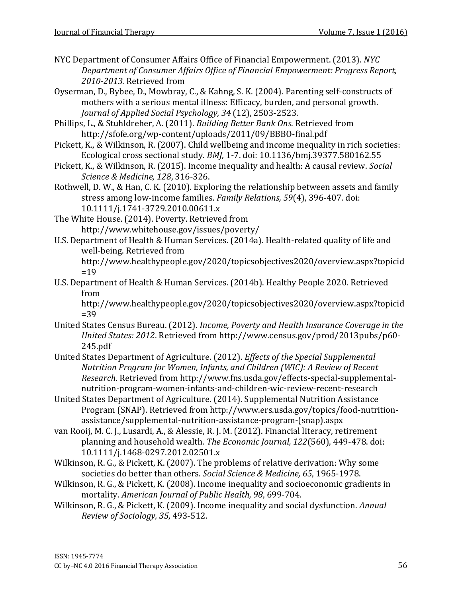- <span id="page-20-11"></span>NYC Department of Consumer Affairs Office of Financial Empowerment. (2013). *NYC Department of Consumer Affairs Office of Financial Empowerment: Progress Report, 2010-2013*. Retrieved from
- <span id="page-20-12"></span>Oyserman, D., Bybee, D., Mowbray, C., & Kahng, S. K. (2004). Parenting self-constructs of mothers with a serious mental illness: Efficacy, burden, and personal growth. *Journal of Applied Social Psychology, 34* (12), 2503-2523.
- <span id="page-20-13"></span>Phillips, L., & Stuhldreher, A. (2011). *Building Better Bank Ons*. Retrieved from http://sfofe.org/wp-content/uploads/2011/09/BBBO-final.pdf
- <span id="page-20-3"></span>Pickett, K., & Wilkinson, R. (2007). Child wellbeing and income inequality in rich societies: Ecological cross sectional study. *BMJ*, 1-7. doi: 10.1136/bmj.39377.580162.55
- <span id="page-20-4"></span>Pickett, K., & Wilkinson, R. (2015). Income inequality and health: A causal review. *Social Science & Medicine, 128*, 316-326.
- <span id="page-20-14"></span>Rothwell, D. W., & Han, C. K. (2010). Exploring the relationship between assets and family stress among low-income families. *Family Relations, 59*(4), 396-407. doi: 10.1111/j.1741-3729.2010.00611.x
- <span id="page-20-9"></span>The White House. (2014). Poverty. Retrieved from http://www.whitehouse.gov/issues/poverty/
- <span id="page-20-1"></span>U.S. Department of Health & Human Services. (2014a). Health-related quality of life and well-being. Retrieved from
	- http://www.healthypeople.gov/2020/topicsobjectives2020/overview.aspx?topicid  $=19$
- <span id="page-20-2"></span>U.S. Department of Health & Human Services. (2014b). Healthy People 2020. Retrieved from

http://www.healthypeople.gov/2020/topicsobjectives2020/overview.aspx?topicid  $=39$ 

- <span id="page-20-0"></span>United States Census Bureau. (2012). *Income, Poverty and Health Insurance Coverage in the United States: 2012*. Retrieved from http://www.census.gov/prod/2013pubs/p60- 245.pdf
- <span id="page-20-7"></span>United States Department of Agriculture. (2012). *Effects of the Special Supplemental Nutrition Program for Women, Infants, and Children (WIC): A Review of Recent Research*. Retrieved from http://www.fns.usda.gov/effects-special-supplementalnutrition-program-women-infants-and-children-wic-review-recent-research
- <span id="page-20-8"></span>United States Department of Agriculture. (2014). Supplemental Nutrition Assistance Program (SNAP). Retrieved from http://www.ers.usda.gov/topics/food-nutritionassistance/supplemental-nutrition-assistance-program-(snap).aspx
- <span id="page-20-10"></span>van Rooij, M. C. J., Lusardi, A., & Alessie, R. J. M. (2012). Financial literacy, retirement planning and household wealth. *The Economic Journal, 122*(560), 449-478. doi: 10.1111/j.1468-0297.2012.02501.x
- Wilkinson, R. G., & Pickett, K. (2007). The problems of relative derivation: Why some societies do better than others. *Social Science & Medicine, 65*, 1965-1978.
- <span id="page-20-5"></span>Wilkinson, R. G., & Pickett, K. (2008). Income inequality and socioeconomic gradients in mortality. *American Journal of Public Health, 98*, 699-704.
- <span id="page-20-6"></span>Wilkinson, R. G., & Pickett, K. (2009). Income inequality and social dysfunction. *Annual Review of Sociology, 35*, 493-512.